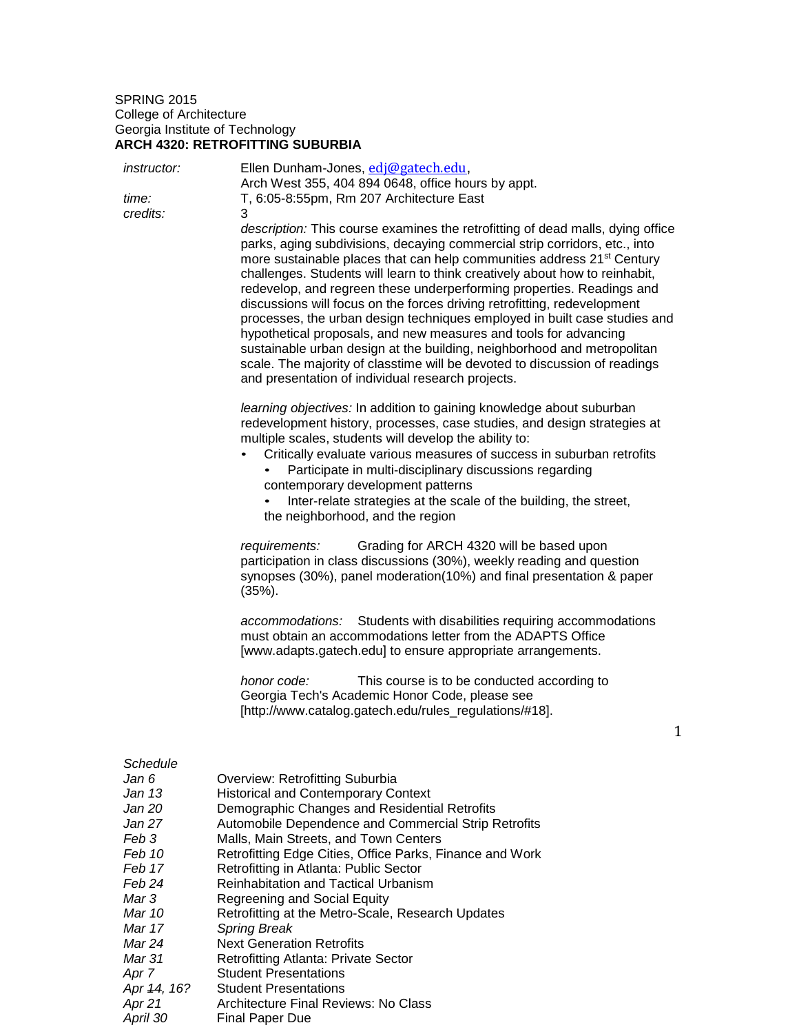## SPRING 2015 College of Architecture Georgia Institute of Technology **ARCH 4320: RETROFITTING SUBURBIA**

| <i>instructor:</i><br>time:<br>credits:                                                                                                                         | Ellen Dunham-Jones, edj@gatech.edu,<br>Arch West 355, 404 894 0648, office hours by appt.<br>T, 6:05-8:55pm, Rm 207 Architecture East<br>3<br>description: This course examines the retrofitting of dead malls, dying office<br>parks, aging subdivisions, decaying commercial strip corridors, etc., into<br>more sustainable places that can help communities address 21 <sup>st</sup> Century<br>challenges. Students will learn to think creatively about how to reinhabit,<br>redevelop, and regreen these underperforming properties. Readings and<br>discussions will focus on the forces driving retrofitting, redevelopment<br>processes, the urban design techniques employed in built case studies and<br>hypothetical proposals, and new measures and tools for advancing |              |
|-----------------------------------------------------------------------------------------------------------------------------------------------------------------|---------------------------------------------------------------------------------------------------------------------------------------------------------------------------------------------------------------------------------------------------------------------------------------------------------------------------------------------------------------------------------------------------------------------------------------------------------------------------------------------------------------------------------------------------------------------------------------------------------------------------------------------------------------------------------------------------------------------------------------------------------------------------------------|--------------|
|                                                                                                                                                                 | sustainable urban design at the building, neighborhood and metropolitan<br>scale. The majority of classtime will be devoted to discussion of readings<br>and presentation of individual research projects.                                                                                                                                                                                                                                                                                                                                                                                                                                                                                                                                                                            |              |
|                                                                                                                                                                 | learning objectives: In addition to gaining knowledge about suburban<br>redevelopment history, processes, case studies, and design strategies at<br>multiple scales, students will develop the ability to:<br>Critically evaluate various measures of success in suburban retrofits<br>Participate in multi-disciplinary discussions regarding<br>contemporary development patterns<br>Inter-relate strategies at the scale of the building, the street,<br>the neighborhood, and the region                                                                                                                                                                                                                                                                                          |              |
|                                                                                                                                                                 | Grading for ARCH 4320 will be based upon<br>requirements:<br>participation in class discussions (30%), weekly reading and question<br>synopses (30%), panel moderation(10%) and final presentation & paper<br>$(35%)$ .                                                                                                                                                                                                                                                                                                                                                                                                                                                                                                                                                               |              |
|                                                                                                                                                                 | Students with disabilities requiring accommodations<br>accommodations:<br>must obtain an accommodations letter from the ADAPTS Office<br>[www.adapts.gatech.edu] to ensure appropriate arrangements.                                                                                                                                                                                                                                                                                                                                                                                                                                                                                                                                                                                  |              |
|                                                                                                                                                                 | honor code:<br>This course is to be conducted according to<br>Georgia Tech's Academic Honor Code, please see<br>[http://www.catalog.gatech.edu/rules_regulations/#18].                                                                                                                                                                                                                                                                                                                                                                                                                                                                                                                                                                                                                | $\mathbf{1}$ |
| Schedule<br>Jan 6<br>Jan 13<br>Jan 20<br>Jan 27<br>Feb 3<br>Feb 10<br>Feb 17<br>Feb 24<br>Mar 3<br>Mar 10<br>Mar 17<br>Mar 24<br>Mar 31<br>Apr 7<br>Apr 44, 16? | Overview: Retrofitting Suburbia<br><b>Historical and Contemporary Context</b><br>Demographic Changes and Residential Retrofits<br>Automobile Dependence and Commercial Strip Retrofits<br>Malls, Main Streets, and Town Centers<br>Retrofitting Edge Cities, Office Parks, Finance and Work<br>Retrofitting in Atlanta: Public Sector<br>Reinhabitation and Tactical Urbanism<br>Regreening and Social Equity<br>Retrofitting at the Metro-Scale, Research Updates<br><b>Spring Break</b><br><b>Next Generation Retrofits</b><br><b>Retrofitting Atlanta: Private Sector</b><br><b>Student Presentations</b><br><b>Student Presentations</b>                                                                                                                                          |              |
| Apr 21                                                                                                                                                          | <b>Architecture Final Reviews: No Class</b>                                                                                                                                                                                                                                                                                                                                                                                                                                                                                                                                                                                                                                                                                                                                           |              |

*April 30* Final Paper Due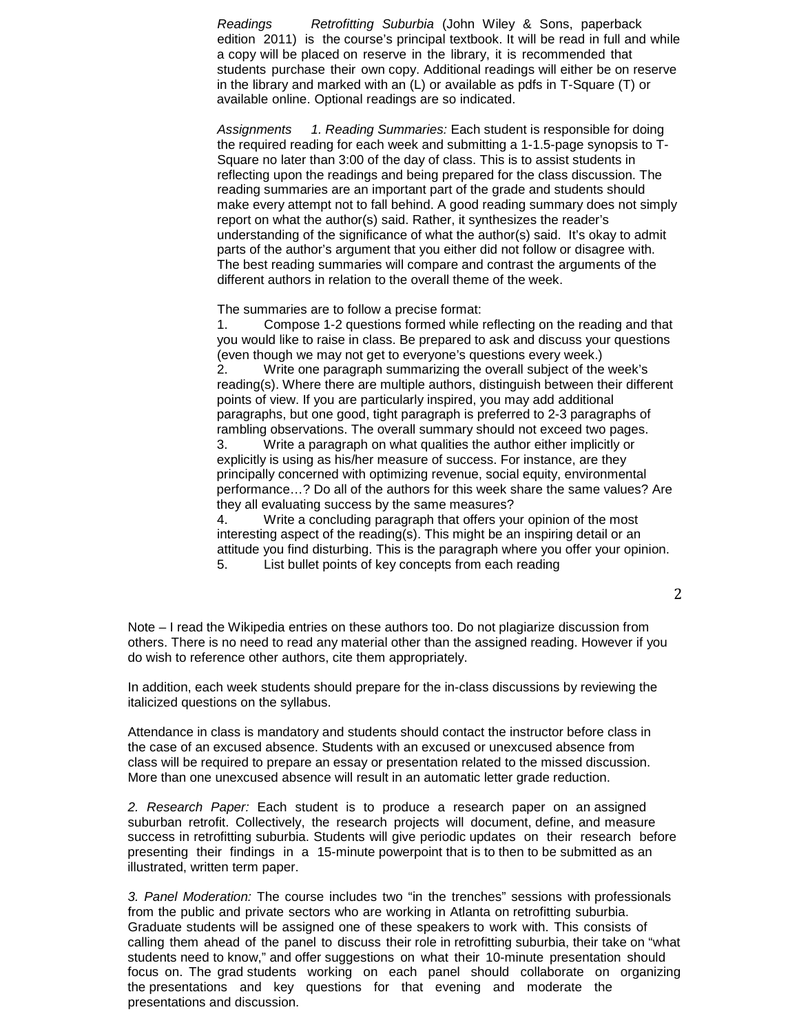*Readings Retrofitting Suburbia* (John Wiley & Sons, paperback edition 2011) is the course's principal textbook. It will be read in full and while a copy will be placed on reserve in the library, it is recommended that students purchase their own copy. Additional readings will either be on reserve in the library and marked with an (L) or available as pdfs in T-Square (T) or available online. Optional readings are so indicated.

*Assignments 1. Reading Summaries:* Each student is responsible for doing the required reading for each week and submitting a 1-1.5-page synopsis to T-Square no later than 3:00 of the day of class. This is to assist students in reflecting upon the readings and being prepared for the class discussion. The reading summaries are an important part of the grade and students should make every attempt not to fall behind. A good reading summary does not simply report on what the author(s) said. Rather, it synthesizes the reader's understanding of the significance of what the author(s) said. It's okay to admit parts of the author's argument that you either did not follow or disagree with. The best reading summaries will compare and contrast the arguments of the different authors in relation to the overall theme of the week.

The summaries are to follow a precise format:

1. Compose 1-2 questions formed while reflecting on the reading and that you would like to raise in class. Be prepared to ask and discuss your questions (even though we may not get to everyone's questions every week.) 2. Write one paragraph summarizing the overall subject of the week's reading(s). Where there are multiple authors, distinguish between their different points of view. If you are particularly inspired, you may add additional paragraphs, but one good, tight paragraph is preferred to 2-3 paragraphs of rambling observations. The overall summary should not exceed two pages. 3. Write a paragraph on what qualities the author either implicitly or

explicitly is using as his/her measure of success. For instance, are they principally concerned with optimizing revenue, social equity, environmental performance…? Do all of the authors for this week share the same values? Are they all evaluating success by the same measures?

4. Write a concluding paragraph that offers your opinion of the most interesting aspect of the reading(s). This might be an inspiring detail or an attitude you find disturbing. This is the paragraph where you offer your opinion. 5. List bullet points of key concepts from each reading

2

Note – I read the Wikipedia entries on these authors too. Do not plagiarize discussion from others. There is no need to read any material other than the assigned reading. However if you do wish to reference other authors, cite them appropriately.

In addition, each week students should prepare for the in-class discussions by reviewing the italicized questions on the syllabus.

Attendance in class is mandatory and students should contact the instructor before class in the case of an excused absence. Students with an excused or unexcused absence from class will be required to prepare an essay or presentation related to the missed discussion. More than one unexcused absence will result in an automatic letter grade reduction.

*2. Research Paper:* Each student is to produce a research paper on an assigned suburban retrofit. Collectively, the research projects will document, define, and measure success in retrofitting suburbia. Students will give periodic updates on their research before presenting their findings in a 15-minute powerpoint that is to then to be submitted as an illustrated, written term paper.

*3. Panel Moderation:* The course includes two "in the trenches" sessions with professionals from the public and private sectors who are working in Atlanta on retrofitting suburbia. Graduate students will be assigned one of these speakers to work with. This consists of calling them ahead of the panel to discuss their role in retrofitting suburbia, their take on "what students need to know," and offer suggestions on what their 10-minute presentation should focus on. The grad students working on each panel should collaborate on organizing the presentations and key questions for that evening and moderate the presentations and discussion.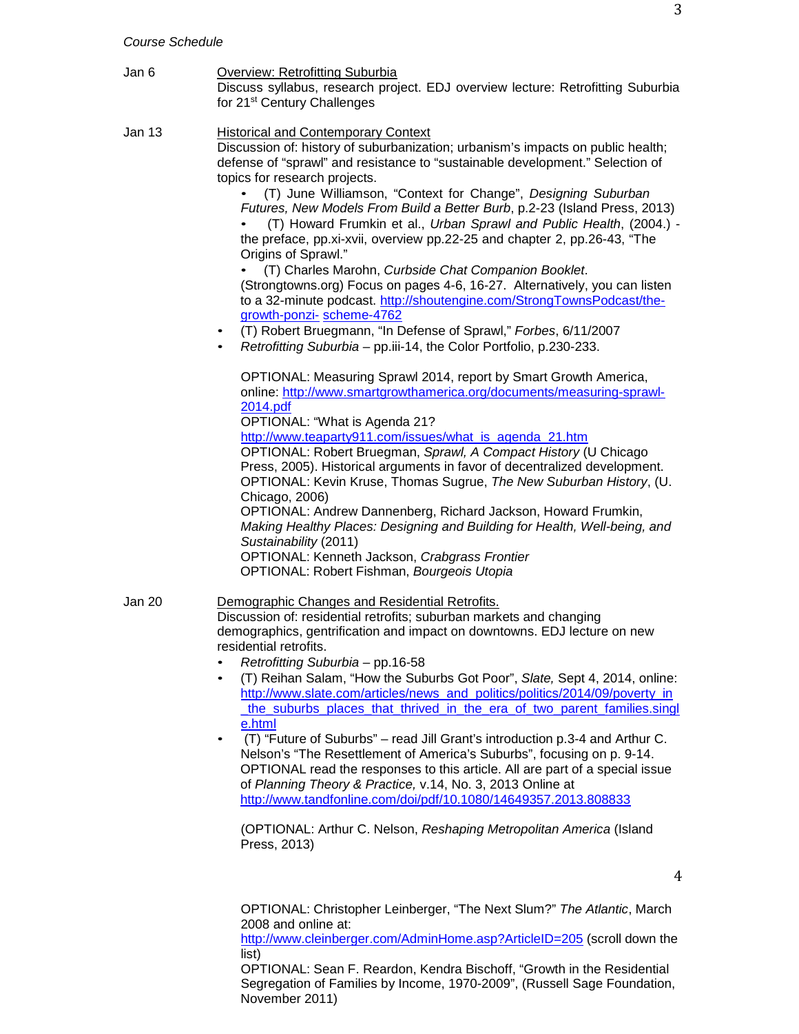- Jan 6 Overview: Retrofitting Suburbia Discuss syllabus, research project. EDJ overview lecture: Retrofitting Suburbia for 21st Century Challenges
- Jan 13 Historical and Contemporary Context Discussion of: history of suburbanization; urbanism's impacts on public health; defense of "sprawl" and resistance to "sustainable development." Selection of topics for research projects.

• (T) June Williamson, "Context for Change", *Designing Suburban Futures, New Models From Build a Better Burb*, p.2-23 (Island Press, 2013)

• (T) Howard Frumkin et al., *Urban Sprawl and Public Health*, (2004.) the preface, pp.xi-xvii, overview pp.22-25 and chapter 2, pp.26-43, "The Origins of Sprawl."

• (T) Charles Marohn, *Curbside Chat Companion Booklet*. (Strongtowns.org) Focus on pages 4-6, 16-27. Alternatively, you can listen to a 32-minute podcast. [http://shoutengine.com/StrongTownsPodcast/the](http://shoutengine.com/StrongTownsPodcast/the-growth-ponzi-scheme-4762)[growth-ponzi-](http://shoutengine.com/StrongTownsPodcast/the-growth-ponzi-scheme-4762) [scheme-4762](http://shoutengine.com/StrongTownsPodcast/the-growth-ponzi-scheme-4762)

- (T) Robert Bruegmann, "In Defense of Sprawl," *Forbes*, 6/11/2007
- *Retrofitting Suburbia*  pp.iii-14, the Color Portfolio, p.230-233.

OPTIONAL: Measuring Sprawl 2014, report by Smart Growth America, online: [http://www.smartgrowthamerica.org/documents/measuring-sprawl-](http://www.smartgrowthamerica.org/documents/measuring-sprawl-2014.pdf)[2014.pdf](http://www.smartgrowthamerica.org/documents/measuring-sprawl-2014.pdf) OPTIONAL: "What is Agenda 21? [http://www.teaparty911.com/issues/what\\_is\\_agenda\\_21.htm](http://www.teaparty911.com/issues/what_is_agenda_21.htm) OPTIONAL: Robert Bruegman, *Sprawl, A Compact History* (U Chicago Press, 2005). Historical arguments in favor of decentralized development. OPTIONAL: Kevin Kruse, Thomas Sugrue, *The New Suburban History*, (U. Chicago, 2006) OPTIONAL: Andrew Dannenberg, Richard Jackson, Howard Frumkin, *Making Healthy Places: Designing and Building for Health, Well-being, and Sustainability* (2011) OPTIONAL: Kenneth Jackson, *Crabgrass Frontier* OPTIONAL: Robert Fishman, *Bourgeois Utopia*

#### Jan 20 Demographic Changes and Residential Retrofits. Discussion of: residential retrofits; suburban markets and changing demographics, gentrification and impact on downtowns. EDJ lecture on new residential retrofits.

- *Retrofitting Suburbia*  pp.16-58
- (T) Reihan Salam, "How the Suburbs Got Poor", *Slate,* Sept 4, 2014, online: [http://www.slate.com/articles/news\\_and\\_politics/politics/2014/09/poverty\\_in](http://www.slate.com/articles/news_and_politics/politics/2014/09/poverty_in_the_suburbs_places_that_thrived_in_the_era_of_two_parent_families.single.html) the suburbs places that thrived in the era of two parent families.singlesting [e.html](http://www.slate.com/articles/news_and_politics/politics/2014/09/poverty_in_the_suburbs_places_that_thrived_in_the_era_of_two_parent_families.single.html)

• (T) "Future of Suburbs" – read Jill Grant's introduction p.3-4 and Arthur C. Nelson's "The Resettlement of America's Suburbs", focusing on p. 9-14. OPTIONAL read the responses to this article. All are part of a special issue of *Planning Theory & Practice,* v.14, No. 3, 2013 Online at <http://www.tandfonline.com/doi/pdf/10.1080/14649357.2013.808833>

(OPTIONAL: Arthur C. Nelson, *Reshaping Metropolitan America* (Island Press, 2013)

4

OPTIONAL: Christopher Leinberger, "The Next Slum?" *The Atlantic*, March 2008 and online at:

<http://www.cleinberger.com/AdminHome.asp?ArticleID=205> (scroll down the list)

OPTIONAL: Sean F. Reardon, Kendra Bischoff, "Growth in the Residential Segregation of Families by Income, 1970-2009", (Russell Sage Foundation, November 2011)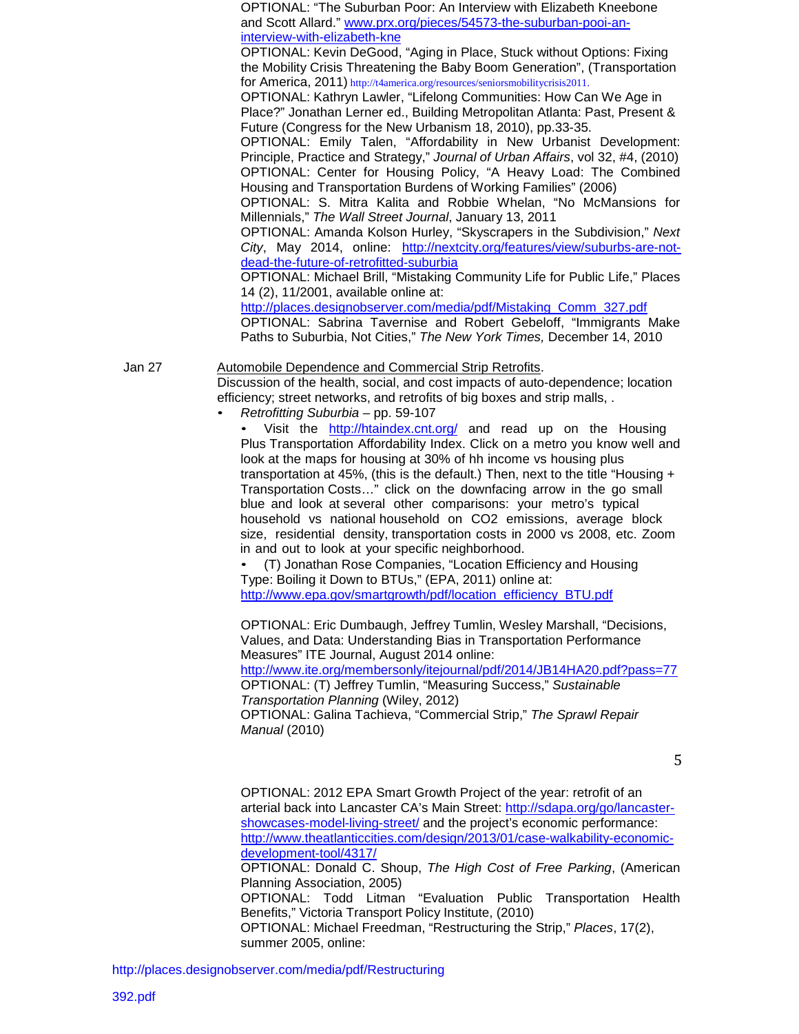OPTIONAL: "The Suburban Poor: An Interview with Elizabeth Kneebone and Scott Allard." [www.prx.org/pieces/54573-the-suburban-pooi-an](http://www.prx.org/pieces/54573-the-suburban-pooi-an-interview-with-elizabeth-kne)[interview-with-elizabeth-kne](http://www.prx.org/pieces/54573-the-suburban-pooi-an-interview-with-elizabeth-kne) OPTIONAL: Kevin DeGood, "Aging in Place, Stuck without Options: Fixing the Mobility Crisis Threatening the Baby Boom Generation", (Transportation for America, 2011) [http://t4america.org/resources/seniorsmobilitycrisis2011.](http://t4america.org/resources/seniorsmobilitycrisis2011) OPTIONAL: Kathryn Lawler, "Lifelong Communities: How Can We Age in Place?" Jonathan Lerner ed., Building Metropolitan Atlanta: Past, Present & Future (Congress for the New Urbanism 18, 2010), pp.33-35. OPTIONAL: Emily Talen, "Affordability in New Urbanist Development: Principle, Practice and Strategy," *Journal of Urban Affairs*, vol 32, #4, (2010) OPTIONAL: Center for Housing Policy, "A Heavy Load: The Combined Housing and Transportation Burdens of Working Families" (2006) OPTIONAL: S. Mitra Kalita and Robbie Whelan, "No McMansions for Millennials," *The Wall Street Journal*, January 13, 2011 OPTIONAL: Amanda Kolson Hurley, "Skyscrapers in the Subdivision," *Next City*, May 2014, online: [http://nextcity.org/features/view/suburbs-are-not](http://nextcity.org/features/view/suburbs-are-not-dead-the-future-of-retrofitted-suburbia)[dead-the-future-of-retrofitted-suburbia](http://nextcity.org/features/view/suburbs-are-not-dead-the-future-of-retrofitted-suburbia) OPTIONAL: Michael Brill, "Mistaking Community Life for Public Life," Places 14 (2), 11/2001, available online at: [http://places.designobserver.com/media/pdf/Mistaking\\_Comm\\_327.pdf](http://places.designobserver.com/media/pdf/Mistaking_Comm_327.pdf) OPTIONAL: Sabrina Tavernise and Robert Gebeloff, "Immigrants Make Paths to Suburbia, Not Cities," *The New York Times,* December 14, 2010

Jan 27 Automobile Dependence and Commercial Strip Retrofits. Discussion of the health, social, and cost impacts of auto-dependence; location efficiency; street networks, and retrofits of big boxes and strip malls, .

• *Retrofitting Suburbia* – pp. 59-107

Visit the [http://htaindex.cnt.org/ a](http://htaindex.cnt.org/)nd read up on the Housing Plus Transportation Affordability Index. Click on a metro you know well and look at the maps for housing at 30% of hh income vs housing plus transportation at 45%, (this is the default.) Then, next to the title "Housing + Transportation Costs…" click on the downfacing arrow in the go small blue and look at several other comparisons: your metro's typical household vs national household on CO2 emissions, average block size, residential density, transportation costs in 2000 vs 2008, etc. Zoom in and out to look at your specific neighborhood.

• (T) Jonathan Rose Companies, "Location Efficiency and Housing Type: Boiling it Down to BTUs," (EPA, 2011) online at: [http://www.epa.gov/smartgrowth/pdf/location\\_efficiency\\_BTU.pdf](http://www.epa.gov/smartgrowth/pdf/location_efficiency_BTU.pdf)

OPTIONAL: Eric Dumbaugh, Jeffrey Tumlin, Wesley Marshall, "Decisions, Values, and Data: Understanding Bias in Transportation Performance Measures" ITE Journal, August 2014 online:

<http://www.ite.org/membersonly/itejournal/pdf/2014/JB14HA20.pdf?pass=77> OPTIONAL: (T) Jeffrey Tumlin, "Measuring Success," *Sustainable Transportation Planning* (Wiley, 2012) OPTIONAL: Galina Tachieva, "Commercial Strip," *The Sprawl Repair Manual* (2010)

5

OPTIONAL: 2012 EPA Smart Growth Project of the year: retrofit of an arterial back into Lancaster CA's Main Street: [http://sdapa.org/go/lancaster](http://sdapa.org/go/lancaster-showcases-model-living-street/)[showcases-model-living-street/](http://sdapa.org/go/lancaster-showcases-model-living-street/) and the project's economic performance: [http://www.theatlanticcities.com/design/2013/01/case-walkability-economic](http://www.theatlanticcities.com/design/2013/01/case-walkability-economic-development-tool/4317/)[development-tool/4317/](http://www.theatlanticcities.com/design/2013/01/case-walkability-economic-development-tool/4317/) OPTIONAL: Donald C. Shoup, *The High Cost of Free Parking*, (American Planning Association, 2005) OPTIONAL: Todd Litman "Evaluation Public Transportation Health Benefits," Victoria Transport Policy Institute, (2010) OPTIONAL: Michael Freedman, "Restructuring the Strip," *Places*, 17(2), summer 2005, online: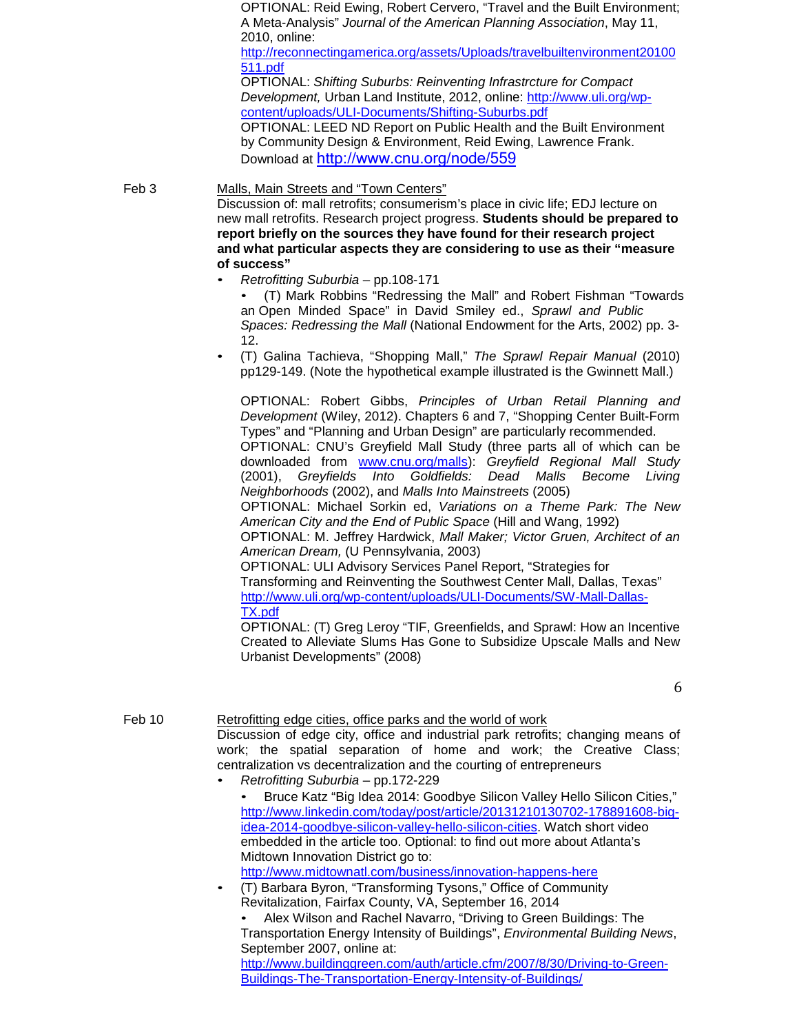OPTIONAL: Reid Ewing, Robert Cervero, "Travel and the Built Environment; A Meta-Analysis" *Journal of the American Planning Association*, May 11, 2010, online:

[http://reconnectingamerica.org/assets/Uploads/travelbuiltenvironment20100](http://reconnectingamerica.org/assets/Uploads/travelbuiltenvironment20100511.pdf) [511.pdf](http://reconnectingamerica.org/assets/Uploads/travelbuiltenvironment20100511.pdf)

OPTIONAL: *Shifting Suburbs: Reinventing Infrastrcture for Compact Development,* Urban Land Institute, 2012, online: [http://www.uli.org/wp](http://www.uli.org/wp-content/uploads/ULI-Documents/Shifting-Suburbs.pdf)[content/uploads/ULI-Documents/Shifting-Suburbs.pdf](http://www.uli.org/wp-content/uploads/ULI-Documents/Shifting-Suburbs.pdf)

OPTIONAL: LEED ND Report on Public Health and the Built Environment by Community Design & Environment, Reid Ewing, Lawrence Frank. Download at <http://www.cnu.org/node/559>

# Feb 3 Malls, Main Streets and "Town Centers"

Discussion of: mall retrofits; consumerism's place in civic life; EDJ lecture on new mall retrofits. Research project progress. **Students should be prepared to report briefly on the sources they have found for their research project and what particular aspects they are considering to use as their "measure of success"**

• *Retrofitting Suburbia* – pp.108-171

• (T) Mark Robbins "Redressing the Mall" and Robert Fishman "Towards an Open Minded Space" in David Smiley ed., *Sprawl and Public Spaces: Redressing the Mall* (National Endowment for the Arts, 2002) pp. 3- 12.

• (T) Galina Tachieva, "Shopping Mall," *The Sprawl Repair Manual* (2010) pp129-149. (Note the hypothetical example illustrated is the Gwinnett Mall.)

OPTIONAL: Robert Gibbs, *Principles of Urban Retail Planning and Development* (Wiley, 2012). Chapters 6 and 7, "Shopping Center Built-Form Types" and "Planning and Urban Design" are particularly recommended. OPTIONAL: CNU's Greyfield Mall Study (three parts all of which can be downloaded from [www.cnu.org/malls\)](http://www.cnu.org/malls): *Greyfield Regional Mall Study*  (2001), *Greyfields Into Goldfields: Dead Malls Become Living Neighborhoods* (2002), and *Malls Into Mainstreets* (2005) OPTIONAL: Michael Sorkin ed, *Variations on a Theme Park: The New American City and the End of Public Space* (Hill and Wang, 1992)

OPTIONAL: M. Jeffrey Hardwick, *Mall Maker; Victor Gruen, Architect of an American Dream,* (U Pennsylvania, 2003)

OPTIONAL: ULI Advisory Services Panel Report, "Strategies for Transforming and Reinventing the Southwest Center Mall, Dallas, Texas" [http://www.uli.org/wp-content/uploads/ULI-Documents/SW-Mall-Dallas-](http://www.uli.org/wp-content/uploads/ULI-Documents/SW-Mall-Dallas-TX.pdf)[TX.pdf](http://www.uli.org/wp-content/uploads/ULI-Documents/SW-Mall-Dallas-TX.pdf)

OPTIONAL: (T) Greg Leroy "TIF, Greenfields, and Sprawl: How an Incentive Created to Alleviate Slums Has Gone to Subsidize Upscale Malls and New Urbanist Developments" (2008)

6

# Feb 10 Retrofitting edge cities, office parks and the world of work

Discussion of edge city, office and industrial park retrofits; changing means of work; the spatial separation of home and work; the Creative Class; centralization vs decentralization and the courting of entrepreneurs

- *Retrofitting Suburbia*  pp.172-229
	- Bruce Katz "Big Idea 2014: Goodbye Silicon Valley Hello Silicon Cities," [http://www.linkedin.com/today/post/article/20131210130702-178891608-big](http://www.linkedin.com/today/post/article/20131210130702-178891608-big-idea-2014-goodbye-silicon-valley-hello-silicon-cities)[idea-2014-goodbye-silicon-valley-hello-silicon-cities.](http://www.linkedin.com/today/post/article/20131210130702-178891608-big-idea-2014-goodbye-silicon-valley-hello-silicon-cities) Watch short video embedded in the article too. Optional: to find out more about Atlanta's Midtown Innovation District go to: <http://www.midtownatl.com/business/innovation-happens-here>
- (T) Barbara Byron, "Transforming Tysons," Office of Community Revitalization, Fairfax County, VA, September 16, 2014

• Alex Wilson and Rachel Navarro, "Driving to Green Buildings: The Transportation Energy Intensity of Buildings", *Environmental Building News*, September 2007, online at: [http://www.buildinggreen.com/auth/article.cfm/2007/8/30/Driving-to-Green-](http://www.buildinggreen.com/auth/article.cfm/2007/8/30/Driving-to-Green-Buildings-The-Transportation-Energy-Intensity-of-Buildings/)[Buildings-The-Transportation-Energy-Intensity-of-Buildings/](http://www.buildinggreen.com/auth/article.cfm/2007/8/30/Driving-to-Green-Buildings-The-Transportation-Energy-Intensity-of-Buildings/)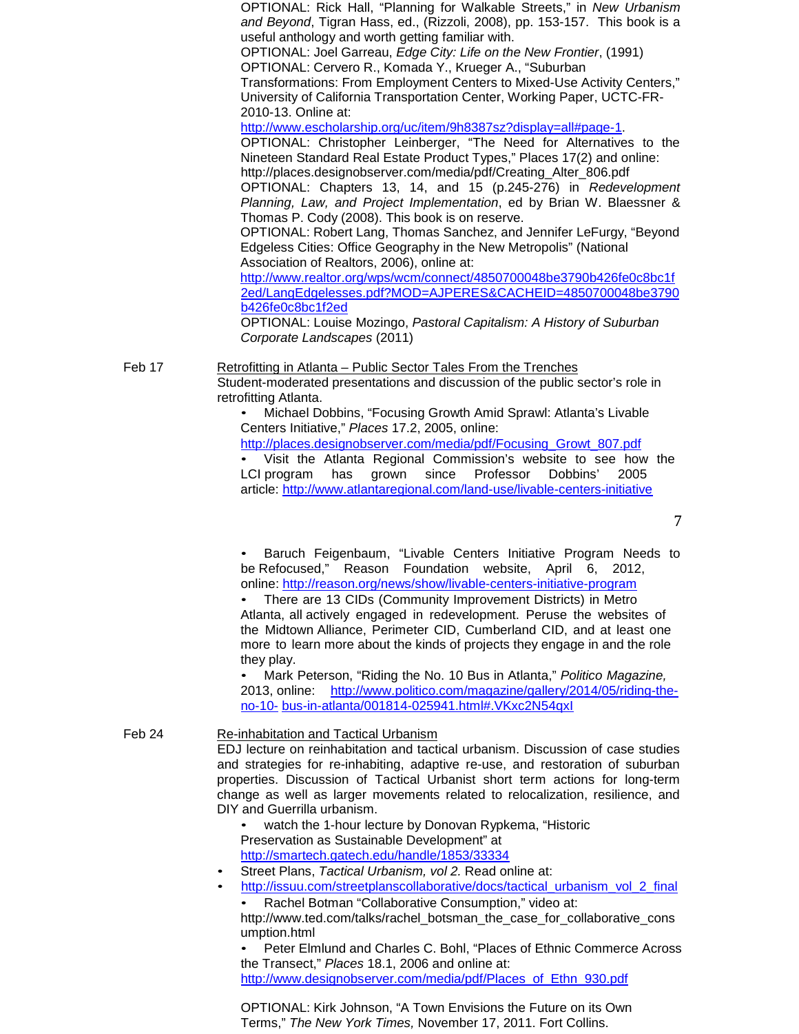OPTIONAL: Rick Hall, "Planning for Walkable Streets," in *New Urbanism and Beyond*, Tigran Hass, ed., (Rizzoli, 2008), pp. 153-157. This book is a useful anthology and worth getting familiar with. OPTIONAL: Joel Garreau, *Edge City: Life on the New Frontier*, (1991) OPTIONAL: Cervero R., Komada Y., Krueger A., "Suburban Transformations: From Employment Centers to Mixed-Use Activity Centers," University of California Transportation Center, Working Paper, UCTC-FR-2010-13. Online at: [http://www.escholarship.org/uc/item/9h8387sz?display=all#page-1.](http://www.escholarship.org/uc/item/9h8387sz?display=all%23page-1) OPTIONAL: Christopher Leinberger, "The Need for Alternatives to the Nineteen Standard Real Estate Product Types," Places 17(2) and online[:](http://places.designobserver.com/media/pdf/Creating_Alter_806.pdf) [http://places.designobserver.com/media/pdf/Creating\\_Alter\\_806.pdf](http://places.designobserver.com/media/pdf/Creating_Alter_806.pdf) OPTIONAL: Chapters 13, 14, and 15 (p.245-276) in *Redevelopment Planning, Law, and Project Implementation*, ed by Brian W. Blaessner & Thomas P. Cody (2008). This book is on reserve. OPTIONAL: Robert Lang, Thomas Sanchez, and Jennifer LeFurgy, "Beyond Edgeless Cities: Office Geography in the New Metropolis" (National Association of Realtors, 2006), online at: [http://www.realtor.org/wps/wcm/connect/4850700048be3790b426fe0c8bc1f](http://www.realtor.org/wps/wcm/connect/4850700048be3790b426fe0c8bc1f2ed/LangEdgelesses.pdf?MOD=AJPERES&CACHEID=4850700048be3790b426fe0c8bc1f2ed) [2ed/LangEdgelesses.pdf?MOD=AJPERES&CACHEID=4850700048be3790](http://www.realtor.org/wps/wcm/connect/4850700048be3790b426fe0c8bc1f2ed/LangEdgelesses.pdf?MOD=AJPERES&CACHEID=4850700048be3790b426fe0c8bc1f2ed) [b426fe0c8bc1f2ed](http://www.realtor.org/wps/wcm/connect/4850700048be3790b426fe0c8bc1f2ed/LangEdgelesses.pdf?MOD=AJPERES&CACHEID=4850700048be3790b426fe0c8bc1f2ed)

OPTIONAL: Louise Mozingo, *Pastoral Capitalism: A History of Suburban Corporate Landscapes* (2011)

Feb 17 Retrofitting in Atlanta – Public Sector Tales From the Trenches Student-moderated presentations and discussion of the public sector's role in retrofitting Atlanta.

> • Michael Dobbins, "Focusing Growth Amid Sprawl: Atlanta's Livable Centers Initiative," *Places* 17.2, 2005, online:

[http://places.designobserver.com/media/pdf/Focusing\\_Growt\\_807.pdf](http://places.designobserver.com/media/pdf/Focusing_Growt_807.pdf)

• Visit the Atlanta Regional Commission's website to see how the LCI program has grown since Professor Dobbins' 2005 article:<http://www.atlantaregional.com/land-use/livable-centers-initiative>

7

• Baruch Feigenbaum, "Livable Centers Initiative Program Needs to be Refocused," Reason Foundation website, April 6, 2012, online:<http://reason.org/news/show/livable-centers-initiative-program>

• There are 13 CIDs (Community Improvement Districts) in Metro Atlanta, all actively engaged in redevelopment. Peruse the websites of the Midtown Alliance, Perimeter CID, Cumberland CID, and at least one more to learn more about the kinds of projects they engage in and the role they play.

• Mark Peterson, "Riding the No. 10 Bus in Atlanta," *Politico Magazine,* 2013, online: [http://www.politico.com/magazine/gallery/2014/05/riding-the](http://www.politico.com/magazine/gallery/2014/05/riding-the-no-10-bus-in-atlanta/001814-025941.html%23.VKxc2N54qxI)[no-10-](http://www.politico.com/magazine/gallery/2014/05/riding-the-no-10-bus-in-atlanta/001814-025941.html%23.VKxc2N54qxI) [bus-in-atlanta/001814-025941.html#.VKxc2N54qxI](http://www.politico.com/magazine/gallery/2014/05/riding-the-no-10-bus-in-atlanta/001814-025941.html%23.VKxc2N54qxI)

## Feb 24 Re-inhabitation and Tactical Urbanism

EDJ lecture on reinhabitation and tactical urbanism. Discussion of case studies and strategies for re-inhabiting, adaptive re-use, and restoration of suburban properties. Discussion of Tactical Urbanist short term actions for long-term change as well as larger movements related to relocalization, resilience, and DIY and Guerrilla urbanism.

watch the 1-hour lecture by Donovan Rypkema, "Historic Preservation as Sustainable Development" at <http://smartech.gatech.edu/handle/1853/33334>

- Street Plans, *Tactical Urbanism, vol 2.* Read online at:
- [http://issuu.com/streetplanscollaborative/docs/tactical\\_urbanism\\_vol\\_2\\_final](http://issuu.com/streetplanscollaborative/docs/tactical_urbanism_vol_2_final) • Rachel Botman "Collaborative Consumption," video at[:](http://www.ted.com/talks/rachel_botsman_the_case_for_collaborative_cons)

[http://www.ted.com/talks/rachel\\_botsman\\_the\\_case\\_for\\_collaborative\\_cons](http://www.ted.com/talks/rachel_botsman_the_case_for_collaborative_cons) umption.html

• Peter Elmlund and Charles C. Bohl, "Places of Ethnic Commerce Across the Transect," *Places* 18.1, 2006 and online at: [http://www.designobserver.com/media/pdf/Places\\_of\\_Ethn\\_930.pdf](http://www.designobserver.com/media/pdf/Places_of_Ethn_930.pdf)

OPTIONAL: Kirk Johnson, "A Town Envisions the Future on its Own Terms," *The New York Times,* November 17, 2011. Fort Collins.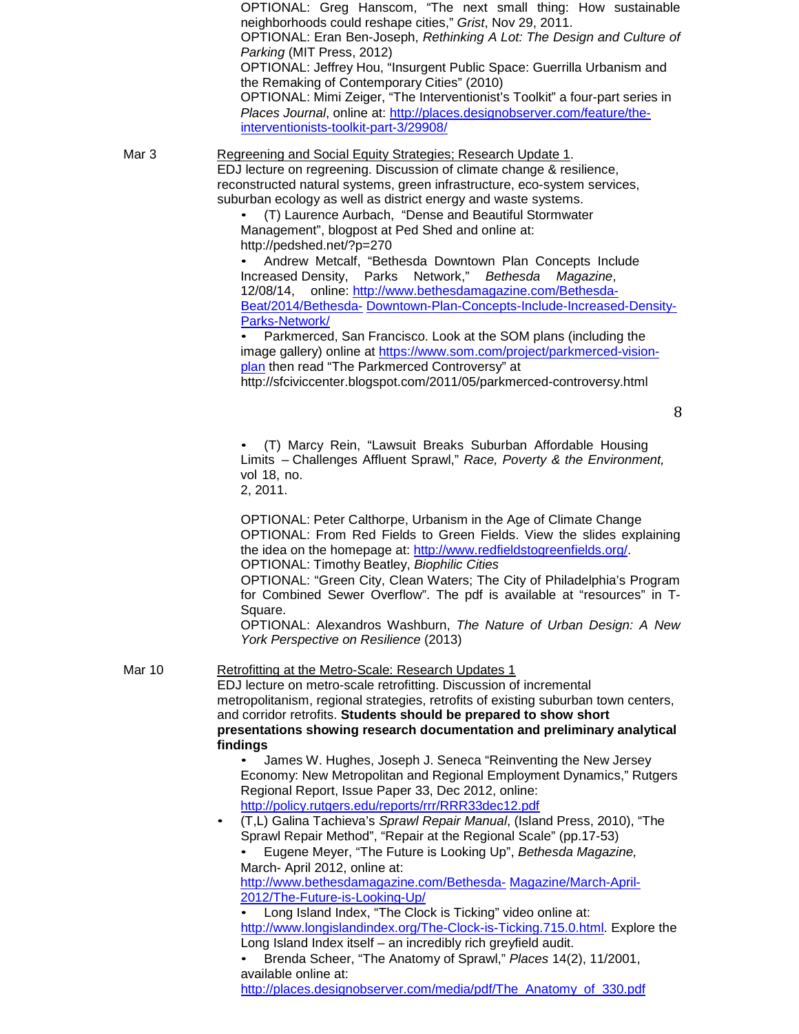neighborhoods could reshape cities," *Grist*, Nov 29, 2011. OPTIONAL: Eran Ben-Joseph, *Rethinking A Lot: The Design and Culture of Parking* (MIT Press, 2012) OPTIONAL: Jeffrey Hou, "Insurgent Public Space: Guerrilla Urbanism and the Remaking of Contemporary Cities" (2010) OPTIONAL: Mimi Zeiger, "The Interventionist's Toolkit" a four-part series in *Places Journal*, online at: [http://places.designobserver.com/feature/the](http://places.designobserver.com/feature/the-interventionists-toolkit-part-3/29908/)[interventionists-toolkit-part-3/29908/](http://places.designobserver.com/feature/the-interventionists-toolkit-part-3/29908/) Mar 3 Regreening and Social Equity Strategies; Research Update 1. EDJ lecture on regreening. Discussion of climate change & resilience, reconstructed natural systems, green infrastructure, eco-system services, suburban ecology as well as district energy and waste systems. • (T) Laurence Aurbach, "Dense and Beautiful Stormwater Management", blogpost at Ped Shed and online at: <http://pedshed.net/?p=270> • Andrew Metcalf, "Bethesda Downtown Plan Concepts Include Increased Density, Parks Network," *Bethesda Magazine*, 12/08/14, online: [http://www.bethesdamagazine.com/Bethesda-](http://www.bethesdamagazine.com/Bethesda-Beat/2014/Bethesda-Downtown-Plan-Concepts-Include-Increased-Density-Parks-Network/)[Beat/2014/Bethesda-](http://www.bethesdamagazine.com/Bethesda-Beat/2014/Bethesda-Downtown-Plan-Concepts-Include-Increased-Density-Parks-Network/) [Downtown-Plan-Concepts-Include-Increased-Density-](http://www.bethesdamagazine.com/Bethesda-Beat/2014/Bethesda-Downtown-Plan-Concepts-Include-Increased-Density-Parks-Network/)[Parks-Network/](http://www.bethesdamagazine.com/Bethesda-Beat/2014/Bethesda-Downtown-Plan-Concepts-Include-Increased-Density-Parks-Network/) • Parkmerced, San Francisco. Look at the SOM plans (including the image gallery) online at [https://www.som.com/project/parkmerced-vision](https://www.som.com/project/parkmerced-vision-plan)[plan](https://www.som.com/project/parkmerced-vision-plan) then read "The Parkmerced Controversy" at <http://sfciviccenter.blogspot.com/2011/05/parkmerced-controversy.html> 8 • (T) Marcy Rein, "Lawsuit Breaks Suburban Affordable Housing Limits – Challenges Affluent Sprawl," *Race, Poverty & the Environment,* vol 18, no. 2, 2011. OPTIONAL: Peter Calthorpe, Urbanism in the Age of Climate Change OPTIONAL: From Red Fields to Green Fields. View the slides explaining the idea on the homepage at: [http://www.redfieldstogreenfields.org/.](http://www.redfieldstogreenfields.org/) OPTIONAL: Timothy Beatley, *Biophilic Cities* OPTIONAL: "Green City, Clean Waters; The City of Philadelphia's Program for Combined Sewer Overflow". The pdf is available at "resources" in T-Square. OPTIONAL: Alexandros Washburn, *The Nature of Urban Design: A New York Perspective on Resilience* (2013) Mar 10 Retrofitting at the Metro-Scale: Research Updates 1 EDJ lecture on metro-scale retrofitting. Discussion of incremental metropolitanism, regional strategies, retrofits of existing suburban town centers, and corridor retrofits. **Students should be prepared to show short presentations showing research documentation and preliminary analytical findings** • James W. Hughes, Joseph J. Seneca "Reinventing the New Jersey Economy: New Metropolitan and Regional Employment Dynamics," Rutgers Regional Report, Issue Paper 33, Dec 2012, online: <http://policy.rutgers.edu/reports/rrr/RRR33dec12.pdf> • (T,L) Galina Tachieva's *Sprawl Repair Manual*, (Island Press, 2010), "The Sprawl Repair Method", "Repair at the Regional Scale" (pp.17-53) • Eugene Meyer, "The Future is Looking Up", *Bethesda Magazine,* March- April 2012, online at: [http://www.bethesdamagazine.com/Bethesda-](http://www.bethesdamagazine.com/Bethesda-Magazine/March-April-2012/The-Future-is-Looking-Up/) [Magazine/March-April-](http://www.bethesdamagazine.com/Bethesda-Magazine/March-April-2012/The-Future-is-Looking-Up/)[2012/The-Future-is-Looking-Up/](http://www.bethesdamagazine.com/Bethesda-Magazine/March-April-2012/The-Future-is-Looking-Up/) • Long Island Index, "The Clock is Ticking" video online at: [http://www.longislandindex.org/The-Clock-is-Ticking.715.0.html.](http://www.longislandindex.org/The-Clock-is-Ticking.715.0.html) Explore the Long Island Index itself – an incredibly rich greyfield audit. • Brenda Scheer, "The Anatomy of Sprawl," *Places* 14(2), 11/2001, available online at: [http://places.designobserver.com/media/pdf/The\\_Anatomy\\_of\\_330.pdf](http://places.designobserver.com/media/pdf/The_Anatomy_of_330.pdf)

OPTIONAL: Greg Hanscom, "The next small thing: How sustainable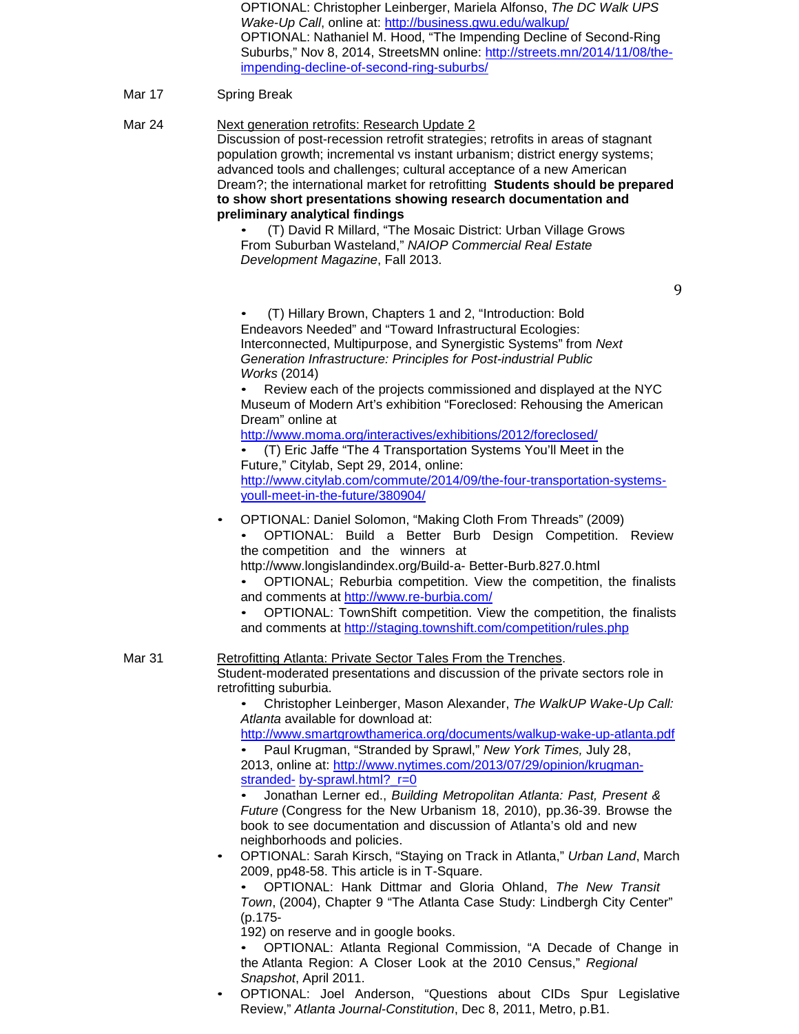OPTIONAL: Christopher Leinberger, Mariela Alfonso, *The DC Walk UPS Wake-Up Call*, online at:<http://business.gwu.edu/walkup/> OPTIONAL: Nathaniel M. Hood, "The Impending Decline of Second-Ring Suburbs," Nov 8, 2014, StreetsMN online: [http://streets.mn/2014/11/08/the](http://streets.mn/2014/11/08/the-impending-decline-of-second-ring-suburbs/)[impending-decline-of-second-ring-suburbs/](http://streets.mn/2014/11/08/the-impending-decline-of-second-ring-suburbs/)

# Mar 17 Spring Break

Mar 24 Next generation retrofits: Research Update 2 Discussion of post-recession retrofit strategies; retrofits in areas of stagnant population growth; incremental vs instant urbanism; district energy systems; advanced tools and challenges; cultural acceptance of a new American Dream?; the international market for retrofitting **Students should be prepared to show short presentations showing research documentation and preliminary analytical findings** • (T) David R Millard, "The Mosaic District: Urban Village Grows From Suburban Wasteland," *NAIOP Commercial Real Estate Development Magazine*, Fall 2013. 9 • (T) Hillary Brown, Chapters 1 and 2, "Introduction: Bold Endeavors Needed" and "Toward Infrastructural Ecologies: Interconnected, Multipurpose, and Synergistic Systems" from *Next Generation Infrastructure: Principles for Post-industrial Public Works* (2014)

• Review each of the projects commissioned and displayed at the NYC Museum of Modern Art's exhibition "Foreclosed: Rehousing the American Dream" online at

<http://www.moma.org/interactives/exhibitions/2012/foreclosed/>

• (T) Eric Jaffe "The 4 Transportation Systems You'll Meet in the Future," Citylab, Sept 29, 2014, online: [http://www.citylab.com/commute/2014/09/the-four-transportation-systems](http://www.citylab.com/commute/2014/09/the-four-transportation-systems-youll-meet-in-the-future/380904/)[youll-meet-in-the-future/380904/](http://www.citylab.com/commute/2014/09/the-four-transportation-systems-youll-meet-in-the-future/380904/)

- OPTIONAL: Daniel Solomon, "Making Cloth From Threads" (2009)
	- OPTIONAL: Build a Better Burb Design Competition. Review the competition and the winners at

<http://www.longislandindex.org/Build-a-> Better-Burb.827.0.html

- OPTIONAL; Reburbia competition. View the competition, the finalists and comments at<http://www.re-burbia.com/>
- OPTIONAL: TownShift competition. View the competition, the finalists and comments at<http://staging.townshift.com/competition/rules.php>

### Mar 31 Retrofitting Atlanta: Private Sector Tales From the Trenches. Student-moderated presentations and discussion of the private sectors role in retrofitting suburbia.

• Christopher Leinberger, Mason Alexander, *The WalkUP Wake-Up Call: Atlanta* available for download at:

<http://www.smartgrowthamerica.org/documents/walkup-wake-up-atlanta.pdf> • Paul Krugman, "Stranded by Sprawl," *New York Times,* July 28, 2013, online at: [http://www.nytimes.com/2013/07/29/opinion/krugman](http://www.nytimes.com/2013/07/29/opinion/krugman-stranded-by-sprawl.html?_r=0)[stranded-](http://www.nytimes.com/2013/07/29/opinion/krugman-stranded-by-sprawl.html?_r=0) [by-sprawl.html?\\_r=0](http://www.nytimes.com/2013/07/29/opinion/krugman-stranded-by-sprawl.html?_r=0)

• Jonathan Lerner ed., *Building Metropolitan Atlanta: Past, Present & Future* (Congress for the New Urbanism 18, 2010), pp.36-39. Browse the book to see documentation and discussion of Atlanta's old and new neighborhoods and policies.

• OPTIONAL: Sarah Kirsch, "Staying on Track in Atlanta," *Urban Land*, March 2009, pp48-58. This article is in T-Square.

• OPTIONAL: Hank Dittmar and Gloria Ohland, *The New Transit Town*, (2004), Chapter 9 "The Atlanta Case Study: Lindbergh City Center" (p.175-

192) on reserve and in google books.

• OPTIONAL: Atlanta Regional Commission, "A Decade of Change in the Atlanta Region: A Closer Look at the 2010 Census," *Regional Snapshot*, April 2011.

• OPTIONAL: Joel Anderson, "Questions about CIDs Spur Legislative Review," *Atlanta Journal-Constitution*, Dec 8, 2011, Metro, p.B1.